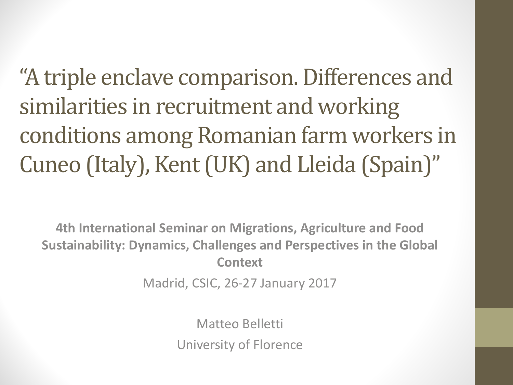"A triple enclave comparison. Differences and similarities in recruitment and working conditions among Romanian farm workers in Cuneo (Italy), Kent (UK) and Lleida (Spain)"

**4th International Seminar on Migrations, Agriculture and Food Sustainability: Dynamics, Challenges and Perspectives in the Global Context**

Madrid, CSIC, 26-27 January 2017

Matteo Belletti University of Florence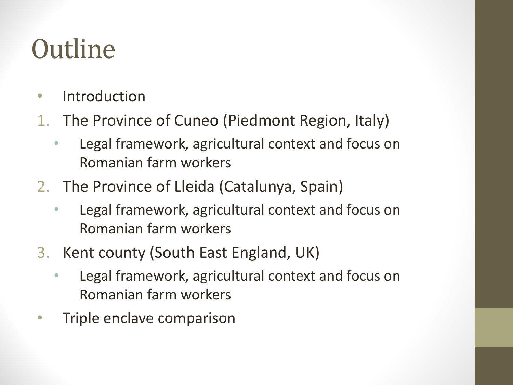# **Outline**

- Introduction
- 1. The Province of Cuneo (Piedmont Region, Italy)
	- Legal framework, agricultural context and focus on Romanian farm workers
- 2. The Province of Lleida (Catalunya, Spain)
	- Legal framework, agricultural context and focus on Romanian farm workers
- 3. Kent county (South East England, UK)
	- Legal framework, agricultural context and focus on Romanian farm workers
- Triple enclave comparison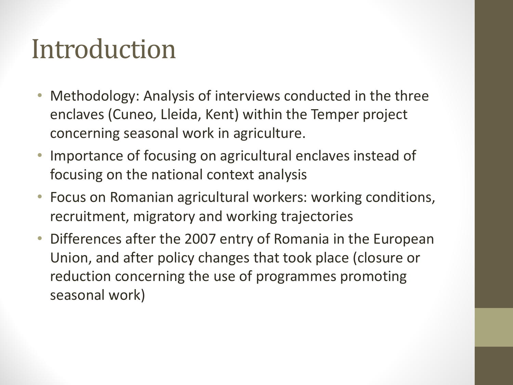# Introduction

- Methodology: Analysis of interviews conducted in the three enclaves (Cuneo, Lleida, Kent) within the Temper project concerning seasonal work in agriculture.
- Importance of focusing on agricultural enclaves instead of focusing on the national context analysis
- Focus on Romanian agricultural workers: working conditions, recruitment, migratory and working trajectories
- Differences after the 2007 entry of Romania in the European Union, and after policy changes that took place (closure or reduction concerning the use of programmes promoting seasonal work)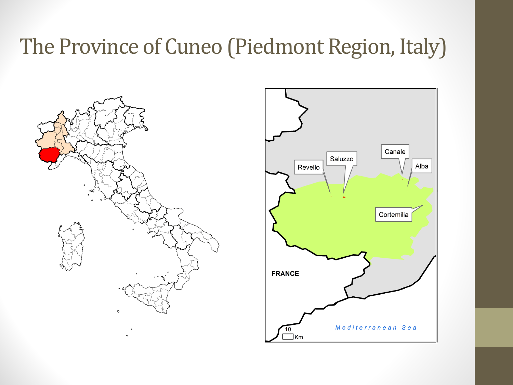## The Province of Cuneo (Piedmont Region, Italy)



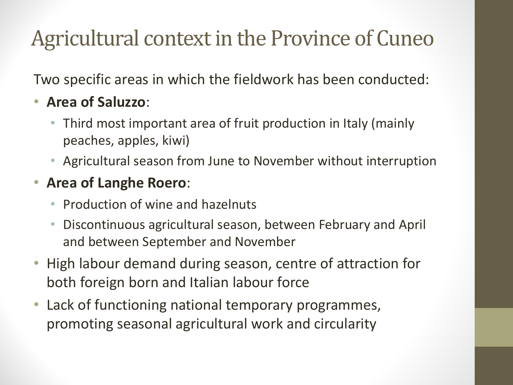## Agricultural context in the Province of Cuneo

Two specific areas in which the fieldwork has been conducted:

#### • **Area of Saluzzo**:

- Third most important area of fruit production in Italy (mainly peaches, apples, kiwi)
- Agricultural season from June to November without interruption

#### • **Area of Langhe Roero**:

- Production of wine and hazelnuts
- Discontinuous agricultural season, between February and April and between September and November
- High labour demand during season, centre of attraction for both foreign born and Italian labour force
- Lack of functioning national temporary programmes, promoting seasonal agricultural work and circularity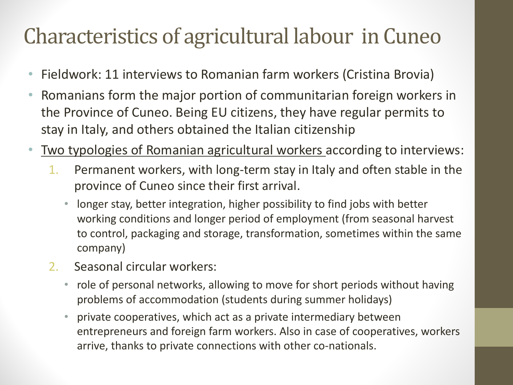## Characteristics of agricultural labour in Cuneo

- Fieldwork: 11 interviews to Romanian farm workers (Cristina Brovia)
- Romanians form the major portion of communitarian foreign workers in the Province of Cuneo. Being EU citizens, they have regular permits to stay in Italy, and others obtained the Italian citizenship
- Two typologies of Romanian agricultural workers according to interviews:
	- 1. Permanent workers, with long-term stay in Italy and often stable in the province of Cuneo since their first arrival.
		- longer stay, better integration, higher possibility to find jobs with better working conditions and longer period of employment (from seasonal harvest to control, packaging and storage, transformation, sometimes within the same company)
	- 2. Seasonal circular workers:
		- role of personal networks, allowing to move for short periods without having problems of accommodation (students during summer holidays)
		- private cooperatives, which act as a private intermediary between entrepreneurs and foreign farm workers. Also in case of cooperatives, workers arrive, thanks to private connections with other co-nationals.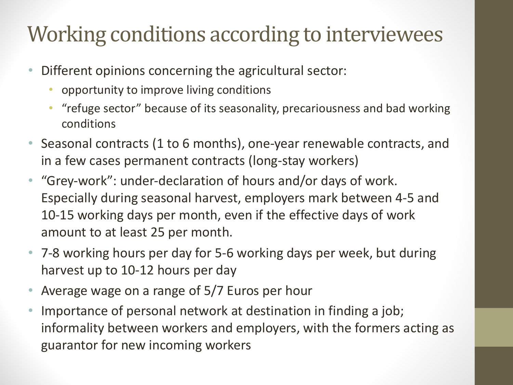## Working conditions according to interviewees

- Different opinions concerning the agricultural sector:
	- opportunity to improve living conditions
	- "refuge sector" because of its seasonality, precariousness and bad working conditions
- Seasonal contracts (1 to 6 months), one-year renewable contracts, and in a few cases permanent contracts (long-stay workers)
- "Grey-work": under-declaration of hours and/or days of work. Especially during seasonal harvest, employers mark between 4-5 and 10-15 working days per month, even if the effective days of work amount to at least 25 per month.
- 7-8 working hours per day for 5-6 working days per week, but during harvest up to 10-12 hours per day
- Average wage on a range of 5/7 Euros per hour
- Importance of personal network at destination in finding a job; informality between workers and employers, with the formers acting as guarantor for new incoming workers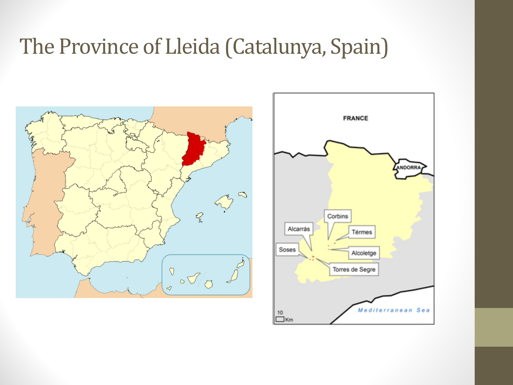### The Province of Lleida (Catalunya, Spain)



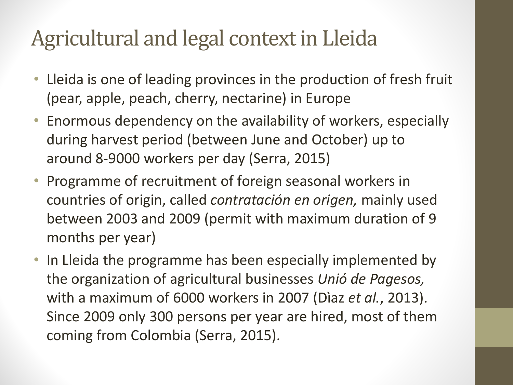## Agricultural and legal context in Lleida

- Lleida is one of leading provinces in the production of fresh fruit (pear, apple, peach, cherry, nectarine) in Europe
- Enormous dependency on the availability of workers, especially during harvest period (between June and October) up to around 8-9000 workers per day (Serra, 2015)
- Programme of recruitment of foreign seasonal workers in countries of origin, called *contratación en origen*, mainly used between 2003 and 2009 (permit with maximum duration of 9 months per year)
- In Lleida the programme has been especially implemented by the organization of agricultural businesses *Unió de Pagesos*, with a maximum of 6000 workers in 2007 (Diaz *et al.*, 2013). Since 2009 only 300 persons per year are hired, most of them coming from Colombia (Serra, 2015).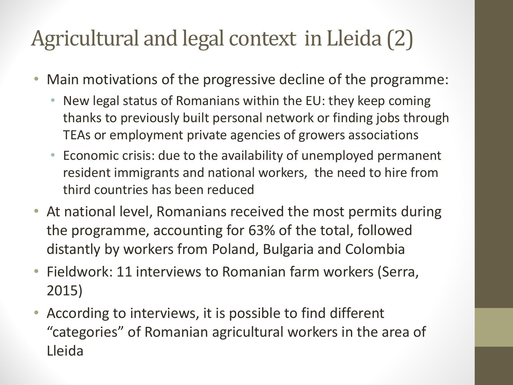## Agricultural and legal context in Lleida (2)

- Main motivations of the progressive decline of the programme:
	- New legal status of Romanians within the EU: they keep coming thanks to previously built personal network or finding jobs through TEAs or employment private agencies of growers associations
	- Economic crisis: due to the availability of unemployed permanent resident immigrants and national workers, the need to hire from third countries has been reduced
- At national level, Romanians received the most permits during the programme, accounting for 63% of the total, followed distantly by workers from Poland, Bulgaria and Colombia
- Fieldwork: 11 interviews to Romanian farm workers (Serra, 2015)
- According to interviews, it is possible to find different "categories" of Romanian agricultural workers in the area of Lleida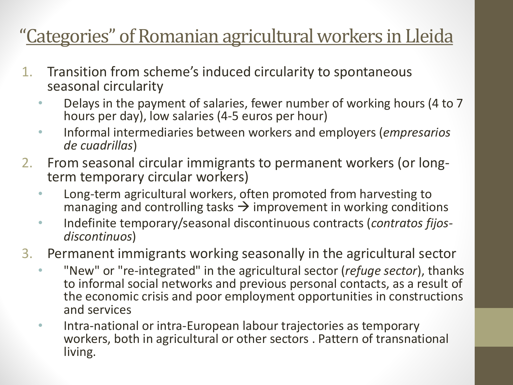#### "Categories" of Romanian agricultural workers in Lleida

- 1. Transition from scheme's induced circularity to spontaneous seasonal circularity
	- Delays in the payment of salaries, fewer number of working hours (4 to 7) hours per day), low salaries (4-5 euros per hour)
	- Informal intermediaries between workers and employers (*empresarios de cuadrillas*)
- 2. From seasonal circular immigrants to permanent workers (or long-<br>term temporary circular workers)
	- Long-term agricultural workers, often promoted from harvesting to managing and controlling tasks  $\rightarrow$  improvement in working conditions
	- Indefinite temporary/seasonal discontinuous contracts (*contratos fijos- discontinuos*)
- 3. Permanent immigrants working seasonally in the agricultural sector
	- "New" or "re-integrated" in the agricultural sector (*refuge sector*), thanks to informal social networks and previous personal contacts, as a result of the economic crisis and poor employment opportunities in constructions and services
	- Intra-national or intra-European labour trajectories as temporary workers, both in agricultural or other sectors . Pattern of transnational living.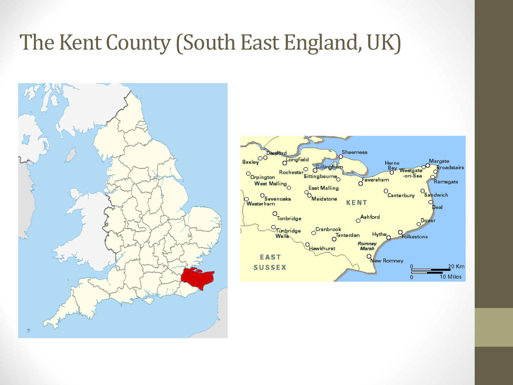### The Kent County (South East England, UK)



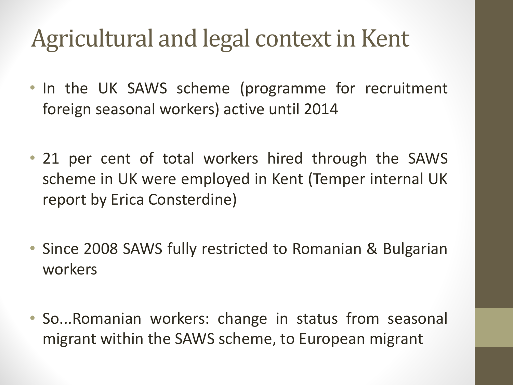## Agricultural and legal context in Kent

- In the UK SAWS scheme (programme for recruitment foreign seasonal workers) active until 2014
- 21 per cent of total workers hired through the SAWS scheme in UK were employed in Kent (Temper internal UK report by Erica Consterdine)
- Since 2008 SAWS fully restricted to Romanian & Bulgarian workers
- So...Romanian workers: change in status from seasonal migrant within the SAWS scheme, to European migrant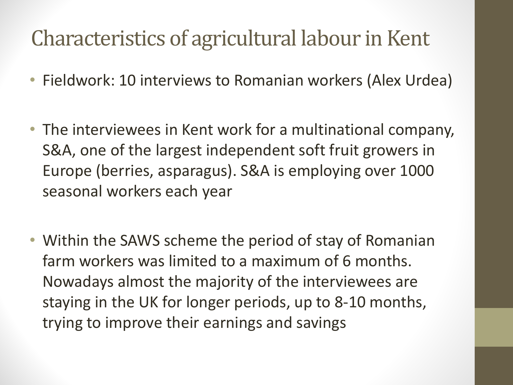## Characteristics of agricultural labour in Kent

- Fieldwork: 10 interviews to Romanian workers (Alex Urdea)
- The interviewees in Kent work for a multinational company, S&A, one of the largest independent soft fruit growers in Europe (berries, asparagus). S&A is employing over 1000 seasonal workers each year
- Within the SAWS scheme the period of stay of Romanian farm workers was limited to a maximum of 6 months. Nowadays almost the majority of the interviewees are staying in the UK for longer periods, up to 8-10 months, trying to improve their earnings and savings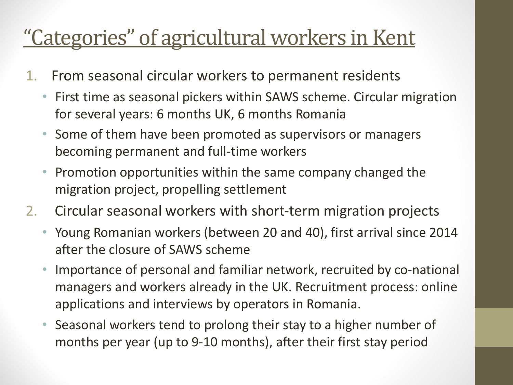## <u>"Categories" of agricultural workers in Kent</u>

- 1. From seasonal circular workers to permanent residents
	- First time as seasonal pickers within SAWS scheme. Circular migration for several years: 6 months UK, 6 months Romania
	- Some of them have been promoted as supervisors or managers becoming permanent and full-time workers
	- **Promotion opportunities within the same company changed the** migration project, propelling settlement
- 2. Circular seasonal workers with short-term migration projects
	- Young Romanian workers (between 20 and 40), first arrival since 2014 after the closure of SAWS scheme
	- Importance of personal and familiar network, recruited by co-national managers and workers already in the UK. Recruitment process: online applications and interviews by operators in Romania.
	- Seasonal workers tend to prolong their stay to a higher number of months per year (up to 9-10 months), after their first stay period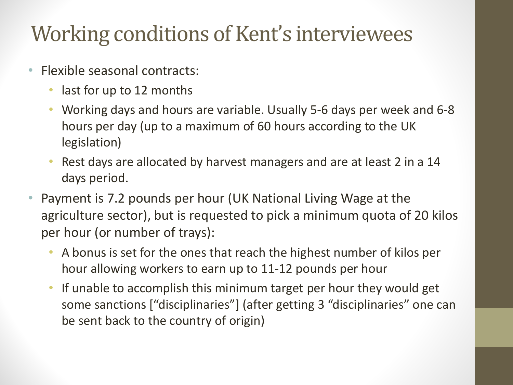## Working conditions of Kent's interviewees

- Flexible seasonal contracts:
	- last for up to 12 months
	- Working days and hours are variable. Usually 5-6 days per week and 6-8 hours per day (up to a maximum of 60 hours according to the UK legislation)
	- Rest days are allocated by harvest managers and are at least 2 in a 14 days period.
- Payment is 7.2 pounds per hour (UK National Living Wage at the agriculture sector), but is requested to pick a minimum quota of 20 kilos per hour (or number of trays):
	- A bonus is set for the ones that reach the highest number of kilos per hour allowing workers to earn up to 11-12 pounds per hour
	- If unable to accomplish this minimum target per hour they would get some sanctions ["disciplinaries"] (after getting 3 "disciplinaries" one can be sent back to the country of origin)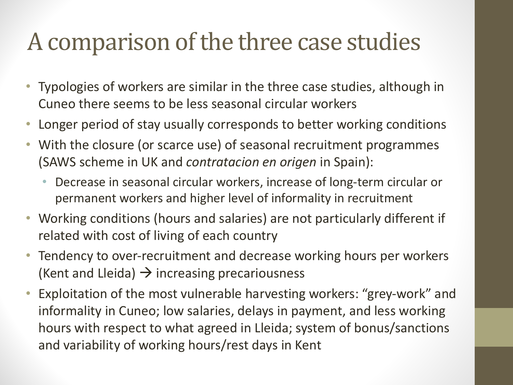## A comparison of the three case studies

- Typologies of workers are similar in the three case studies, although in Cuneo there seems to be less seasonal circular workers
- Longer period of stay usually corresponds to better working conditions
- With the closure (or scarce use) of seasonal recruitment programmes (SAWS scheme in UK and *contratacion en origen* in Spain):
	- Decrease in seasonal circular workers, increase of long-term circular or permanent workers and higher level of informality in recruitment
- Working conditions (hours and salaries) are not particularly different if related with cost of living of each country
- Tendency to over-recruitment and decrease working hours per workers (Kent and Lleida)  $\rightarrow$  increasing precariousness
- Exploitation of the most vulnerable harvesting workers: "grey-work" and informality in Cuneo; low salaries, delays in payment, and less working hours with respect to what agreed in Lleida; system of bonus/sanctions and variability of working hours/rest days in Kent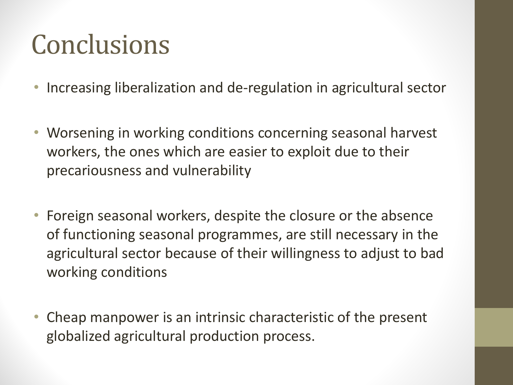# **Conclusions**

- Increasing liberalization and de-regulation in agricultural sector
- Worsening in working conditions concerning seasonal harvest workers, the ones which are easier to exploit due to their precariousness and vulnerability
- Foreign seasonal workers, despite the closure or the absence of functioning seasonal programmes, are still necessary in the agricultural sector because of their willingness to adjust to bad working conditions
- Cheap manpower is an intrinsic characteristic of the present globalized agricultural production process.